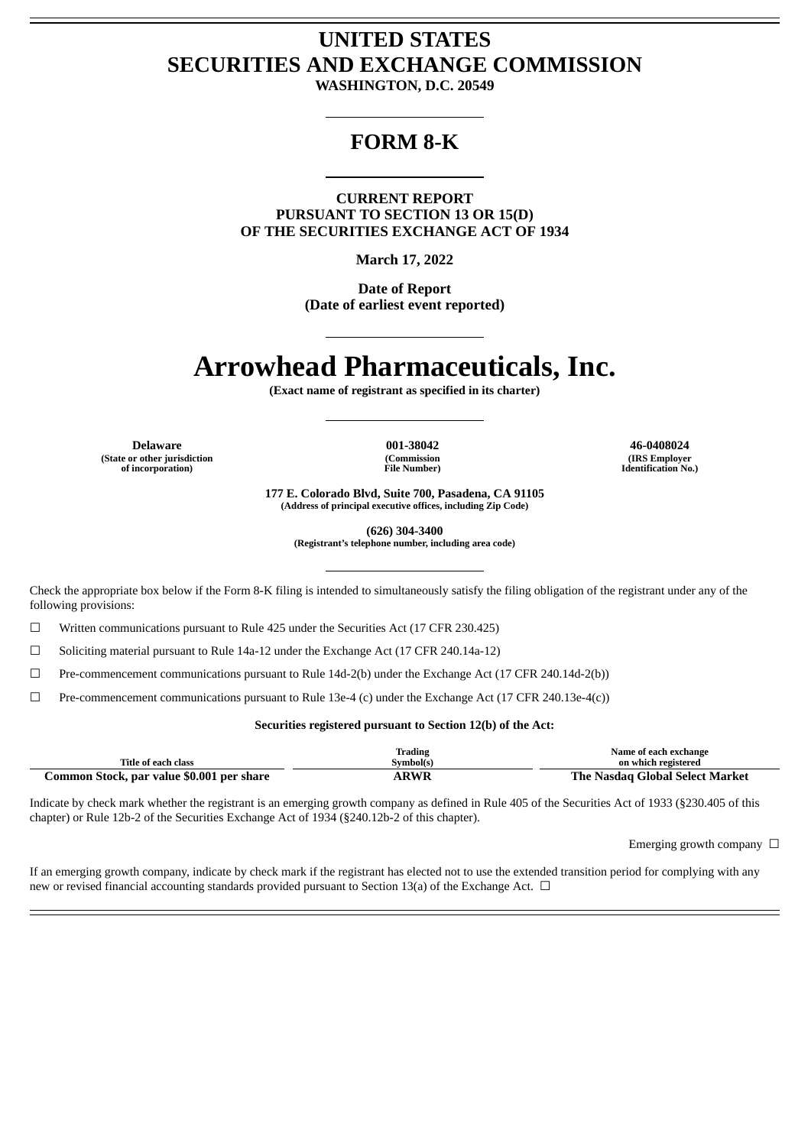# **UNITED STATES SECURITIES AND EXCHANGE COMMISSION**

**WASHINGTON, D.C. 20549**

# **FORM 8-K**

**CURRENT REPORT PURSUANT TO SECTION 13 OR 15(D) OF THE SECURITIES EXCHANGE ACT OF 1934**

**March 17, 2022**

**Date of Report (Date of earliest event reported)**

# **Arrowhead Pharmaceuticals, Inc.**

**(Exact name of registrant as specified in its charter)**

**(State or other jurisdiction of incorporation)**

**(Commission File Number)**

**Delaware 001-38042 46-0408024 (IRS Employer Identification No.)**

> **177 E. Colorado Blvd, Suite 700, Pasadena, CA 91105 (Address of principal executive offices, including Zip Code)**

> > **(626) 304-3400**

**(Registrant's telephone number, including area code)**

Check the appropriate box below if the Form 8-K filing is intended to simultaneously satisfy the filing obligation of the registrant under any of the following provisions:

☐ Written communications pursuant to Rule 425 under the Securities Act (17 CFR 230.425)

☐ Soliciting material pursuant to Rule 14a-12 under the Exchange Act (17 CFR 240.14a-12)

☐ Pre-commencement communications pursuant to Rule 14d-2(b) under the Exchange Act (17 CFR 240.14d-2(b))

☐ Pre-commencement communications pursuant to Rule 13e-4 (c) under the Exchange Act (17 CFR 240.13e-4(c))

#### **Securities registered pursuant to Section 12(b) of the Act:**

|                                           | <b>Trading</b> | Name of each exchange           |  |
|-------------------------------------------|----------------|---------------------------------|--|
| Title of each class                       | Symbol(s)      | on which registered             |  |
| Common Stock, par value \$0.001 per share | <b>ARWR</b>    | The Nasdag Global Select Market |  |

Indicate by check mark whether the registrant is an emerging growth company as defined in Rule 405 of the Securities Act of 1933 (§230.405 of this chapter) or Rule 12b-2 of the Securities Exchange Act of 1934 (§240.12b-2 of this chapter).

Emerging growth company  $\Box$ 

If an emerging growth company, indicate by check mark if the registrant has elected not to use the extended transition period for complying with any new or revised financial accounting standards provided pursuant to Section 13(a) of the Exchange Act.  $\Box$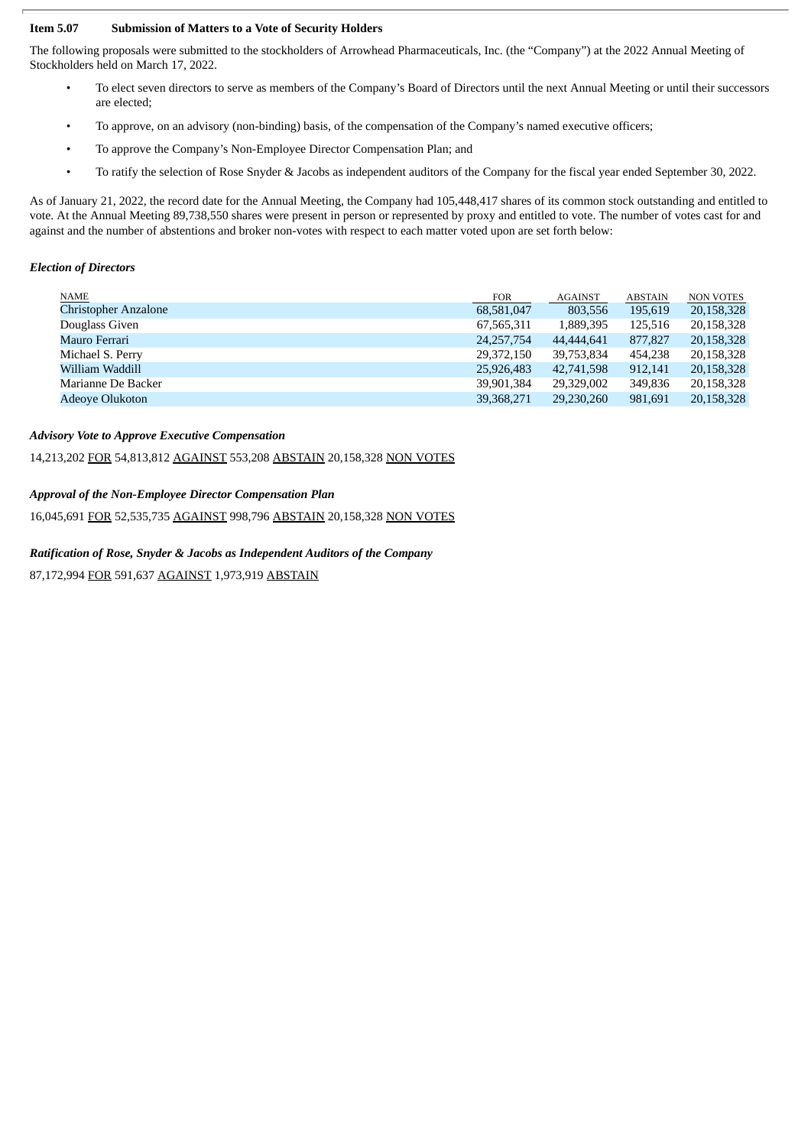#### **Item 5.07 Submission of Matters to a Vote of Security Holders**

The following proposals were submitted to the stockholders of Arrowhead Pharmaceuticals, Inc. (the "Company") at the 2022 Annual Meeting of Stockholders held on March 17, 2022.

- To elect seven directors to serve as members of the Company's Board of Directors until the next Annual Meeting or until their successors are elected;
- To approve, on an advisory (non-binding) basis, of the compensation of the Company's named executive officers;
- To approve the Company's Non-Employee Director Compensation Plan; and
- To ratify the selection of Rose Snyder & Jacobs as independent auditors of the Company for the fiscal year ended September 30, 2022.

As of January 21, 2022, the record date for the Annual Meeting, the Company had 105,448,417 shares of its common stock outstanding and entitled to vote. At the Annual Meeting 89,738,550 shares were present in person or represented by proxy and entitled to vote. The number of votes cast for and against and the number of abstentions and broker non-votes with respect to each matter voted upon are set forth below:

#### *Election of Directors*

| <b>NAME</b>                 | <b>FOR</b>   | <b>AGAINST</b> | <b>ABSTAIN</b> | <b>NON VOTES</b> |
|-----------------------------|--------------|----------------|----------------|------------------|
| <b>Christopher Anzalone</b> | 68,581,047   | 803,556        | 195,619        | 20,158,328       |
| Douglass Given              | 67,565,311   | 1,889,395      | 125,516        | 20,158,328       |
| Mauro Ferrari               | 24, 257, 754 | 44,444,641     | 877,827        | 20,158,328       |
| Michael S. Perry            | 29,372,150   | 39,753,834     | 454,238        | 20,158,328       |
| William Waddill             | 25,926,483   | 42,741,598     | 912,141        | 20,158,328       |
| Marianne De Backer          | 39,901,384   | 29,329,002     | 349,836        | 20,158,328       |
| <b>Adeoye Olukoton</b>      | 39,368,271   | 29,230,260     | 981,691        | 20,158,328       |
|                             |              |                |                |                  |

#### *Advisory Vote to Approve Executive Compensation*

14,213,202 FOR 54,813,812 AGAINST 553,208 ABSTAIN 20,158,328 NON VOTES

### *Approval of the Non-Employee Director Compensation Plan*

16,045,691 FOR 52,535,735 AGAINST 998,796 ABSTAIN 20,158,328 NON VOTES

#### *Ratification of Rose, Snyder & Jacobs as Independent Auditors of the Company*

87,172,994 FOR 591,637 AGAINST 1,973,919 ABSTAIN